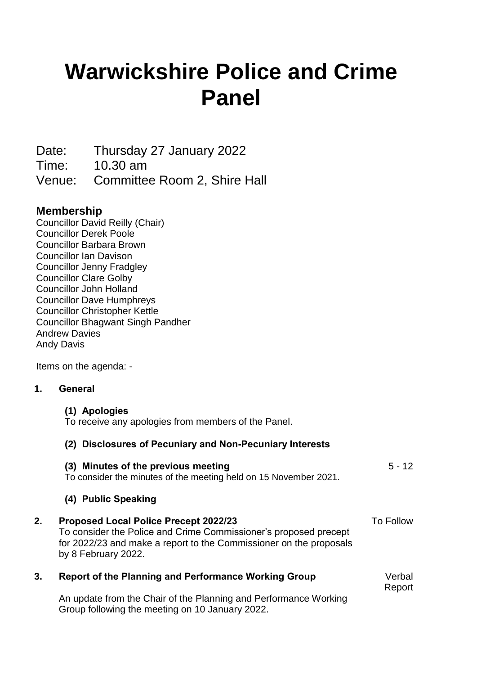# **Warwickshire Police and Crime Panel**

Date: Thursday 27 January 2022

Time: 10.30 am

Venue: Committee Room 2, Shire Hall

## **Membership**

Councillor David Reilly (Chair) Councillor Derek Poole Councillor Barbara Brown Councillor Ian Davison Councillor Jenny Fradgley Councillor Clare Golby Councillor John Holland Councillor Dave Humphreys Councillor Christopher Kettle Councillor Bhagwant Singh Pandher Andrew Davies Andy Davis

Items on the agenda: -

## **1. General**

**(1) Apologies**

To receive any apologies from members of the Panel.

## **(2) Disclosures of Pecuniary and Non-Pecuniary Interests**

|    | (3) Minutes of the previous meeting<br>To consider the minutes of the meeting held on 15 November 2021.                                                                                                       | $5 - 12$         |
|----|---------------------------------------------------------------------------------------------------------------------------------------------------------------------------------------------------------------|------------------|
|    | (4) Public Speaking                                                                                                                                                                                           |                  |
| 2. | <b>Proposed Local Police Precept 2022/23</b><br>To consider the Police and Crime Commissioner's proposed precept<br>for 2022/23 and make a report to the Commissioner on the proposals<br>by 8 February 2022. | To Follow        |
| 3. | <b>Report of the Planning and Performance Working Group</b>                                                                                                                                                   | Verbal<br>Report |
|    | An update from the Chair of the Planning and Performance Working<br>Group following the meeting on 10 January 2022.                                                                                           |                  |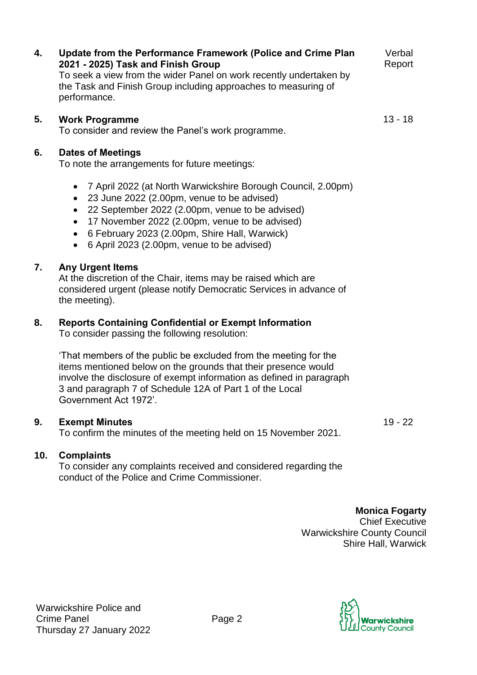**4. Update from the Performance Framework (Police and Crime Plan 2021 - 2025) Task and Finish Group** To seek a view from the wider Panel on work recently undertaken by the Task and Finish Group including approaches to measuring of performance.

## **5. Work Programme** 13 - 18

To consider and review the Panel's work programme.

## **6. Dates of Meetings**

To note the arrangements for future meetings:

- 7 April 2022 (at North Warwickshire Borough Council, 2.00pm)
- 23 June 2022 (2.00pm, venue to be advised)
- 22 September 2022 (2.00pm, venue to be advised)
- 17 November 2022 (2.00pm, venue to be advised)
- 6 February 2023 (2.00pm, Shire Hall, Warwick)
- 6 April 2023 (2.00pm, venue to be advised)

## **7. Any Urgent Items**

At the discretion of the Chair, items may be raised which are considered urgent (please notify Democratic Services in advance of the meeting).

## **8. Reports Containing Confidential or Exempt Information**

To consider passing the following resolution:

'That members of the public be excluded from the meeting for the items mentioned below on the grounds that their presence would involve the disclosure of exempt information as defined in paragraph 3 and paragraph 7 of Schedule 12A of Part 1 of the Local Government Act 1972'.

#### **9. Exempt Minutes** 19 - 22

To confirm the minutes of the meeting held on 15 November 2021.

#### **10. Complaints**

To consider any complaints received and considered regarding the conduct of the Police and Crime Commissioner.

> **Monica Fogarty** Chief Executive Warwickshire County Council Shire Hall, Warwick



Verbal Report